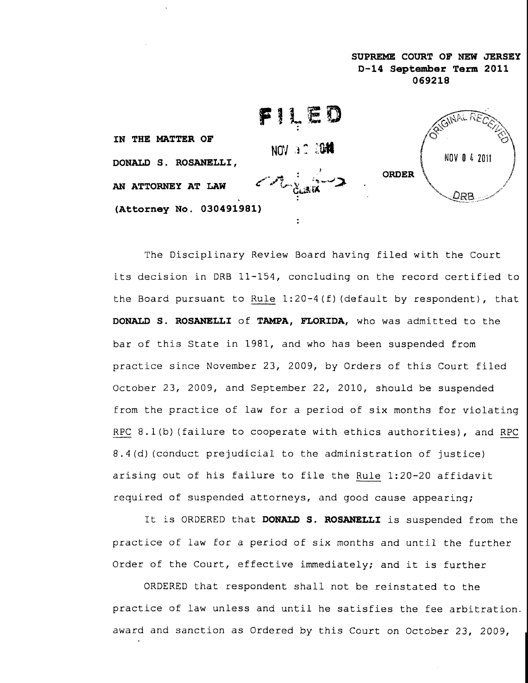



The Disciplinary Review Board having filed with the Court its decision in DRB  $11-154$ , concluding on the record certified to the Board pursuant to Rule 1:20-4(f) (default by respondent), that DONALD S. ROSANELLI of TAMPA, FLORIDA, who was admitted to the bar of this State in 1981, and who has been suspended from practice since November 23, 2009, by Orders of this Court filed October 23, 2009, and September 22, 2010, should be suspended from the practice of law for a period of six months for violating RPC 8.1(b) (failure to cooperate with ethics authorities), and RPC 8.4(d) (conduct prejudicial to the administration of justice) arising out of his failure to file the Rule 1:20-20 affidavit required of suspended attorneys, and good cause appearing;

It is ORDERED that DONALD S. ROSANELLI is suspended from the practice of law for a period of six months and until the further Order of the Court, effective immediately; and it is further

ORDERED that respondent shall not be reinstated to the practice of law unless and until he satisfies the fee arbitration. award and sanction as Ordered by this Court on October 23, 2009,